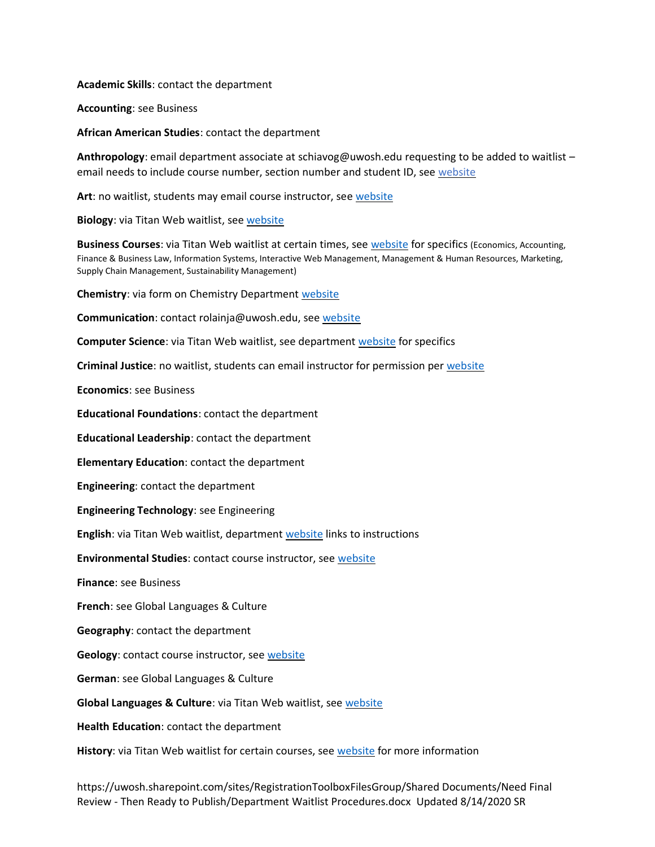**Academic Skills**: contact the department

**Accounting**: see Business

**African American Studies**: contact the department

**Anthropology**: email department associate at schiavog@uwosh.edu requesting to be added to waitlist – email needs to include course number, section number and student ID, se[e website](https://uwosh.edu/anthropology/religious-studies-program/current-students/class-notes/)

**Art**: no waitlist, students may email course instructor, see [website](https://uwosh.edu/art/students/advising/)

**Biology**: via Titan Web waitlist, se[e website](https://uwosh.edu/biology/courses-and-advising/advising/)

**Business Courses**: via Titan Web waitlist at certain times, see [website](https://uwosh.edu/cob/resources/current-students/student-policies/) for specifics (Economics, Accounting, Finance & Business Law, Information Systems, Interactive Web Management, Management & Human Resources, Marketing, Supply Chain Management, Sustainability Management)

**Chemistry**: via form on Chemistry Department [website](https://uwosh.edu/chemistry/courses/waitlist/)

**Communication**: contact rolainja@uwosh.edu, se[e website](https://uwosh.edu/communication/for-students/advising-information/)

**Computer Science**: via Titan Web waitlist, see department [website](https://uwosh.edu/cs/advising/) for specifics

**Criminal Justice**: no waitlist, students can email instructor for permission per [website](https://uwosh.edu/criminaljustice/what-to-do-when-the-class-is-full/)

**Economics**: see Business

**Educational Foundations**: contact the department

**Educational Leadership**: contact the department

**Elementary Education**: contact the department

**Engineering**: contact the department

**Engineering Technology**: see Engineering

**English**: via Titan Web waitlist, department [website](https://uwosh.edu/english/more-information/) links to instructions

**Environmental Studies**: contact course instructor, see [website](https://uwosh.edu/es/courses-advising/what-to-do-if-class-is-full/)

**Finance**: see Business

**French**: see Global Languages & Culture

**Geography**: contact the department

**Geology**: contact course instructor, see [website](https://www.uwosh.edu/geology/courses-and-advising)

**German**: see Global Languages & Culture

**Global Languages & Culture**: via Titan Web waitlist, see [website](https://uwosh.edu/glc/waitlists/)

**Health Education**: contact the department

**History**: via Titan Web waitlist for certain courses, see [website](https://uwosh.edu/history/what-to-do-if-a-history-class-is-full/) for more information

https://uwosh.sharepoint.com/sites/RegistrationToolboxFilesGroup/Shared Documents/Need Final Review - Then Ready to Publish/Department Waitlist Procedures.docx Updated 8/14/2020 SR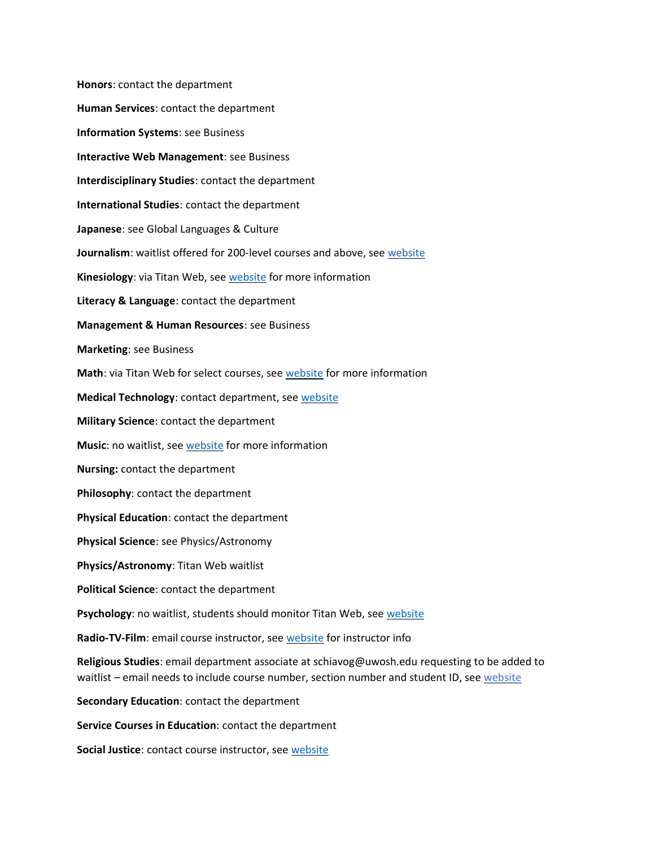**Honors**: contact the department **Human Services**: contact the department **Information Systems**: see Business **Interactive Web Management**: see Business **Interdisciplinary Studies**: contact the department **International Studies**: contact the department **Japanese**: see Global Languages & Culture **Journalism**: waitlist offered for 200-level courses and above, se[e website](https://uwosh.edu/journalism/what-do-i-do-if-a-class-is-full/) **Kinesiology**: via Titan Web, see [website](https://uwosh.edu/kinesiology/resources/) for more information **Literacy & Language**: contact the department **Management & Human Resources**: see Business **Marketing**: see Business **Math**: via Titan Web for select courses, see [website](https://www.uwosh.edu/mathematics/courses-syllabi) for more information **Medical Technology**: contact department, see [website](https://uwosh.edu/medicaltechnology/students/advisement-aids/) **Military Science**: contact the department **Music**: no waitlist, see [website](https://uwosh.edu/music/current/) for more information **Nursing:** contact the department **Philosophy**: contact the department **Physical Education**: contact the department **Physical Science**: see Physics/Astronomy **Physics/Astronomy**: Titan Web waitlist **Political Science**: contact the department Psychology: no waitlist, students should monitor Titan Web, see [website](https://www.uwosh.edu/psychology/undergraduate-studies/wait-list-add-policy) **Radio-TV-Film**: email course instructor, see [website](https://uwosh.edu/rtf/waitlist-policy/) for instructor info **Religious Studies**: email department associate at schiavog@uwosh.edu requesting to be added to waitlist – email needs to include course number, section number and student ID, see [website](https://uwosh.edu/anthropology/religious-studies-program/current-students/class-notes/) **Secondary Education**: contact the department **Service Courses in Education**: contact the department **Social Justice**: contact course instructor, see [website](https://uwosh.edu/socialjustice/students/planning-class-schedule/)